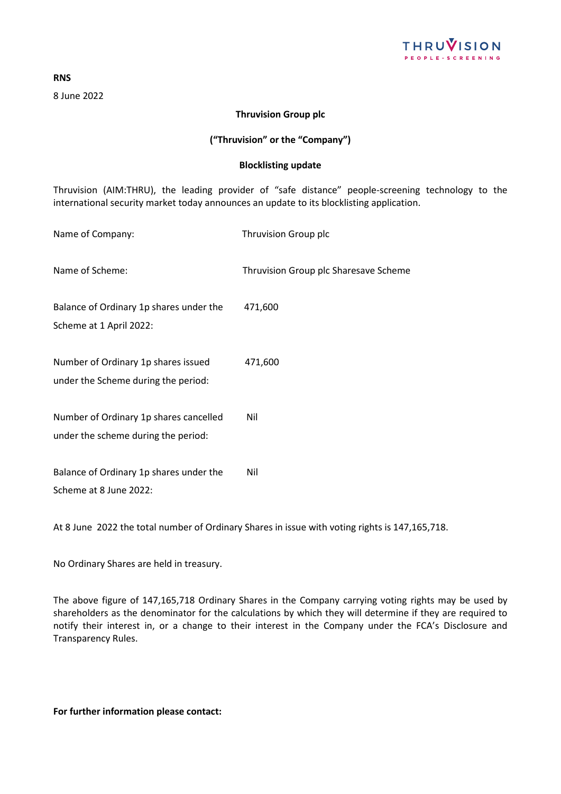

**RNS**

8 June 2022

## **Thruvision Group plc**

## **("Thruvision" or the "Company")**

## **Blocklisting update**

Thruvision (AIM:THRU), the leading provider of "safe distance" people-screening technology to the international security market today announces an update to its blocklisting application.

Name of Company: Thruvision Group plc

Name of Scheme: Thruvision Group plc Sharesave Scheme

Balance of Ordinary 1p shares under the 471,600

Scheme at 1 April 2022:

Number of Ordinary 1p shares issued 471,600 under the Scheme during the period:

Number of Ordinary 1p shares cancelled Nil under the scheme during the period:

Balance of Ordinary 1p shares under the Nil Scheme at 8 June 2022:

At 8 June 2022 the total number of Ordinary Shares in issue with voting rights is 147,165,718.

No Ordinary Shares are held in treasury.

The above figure of 147,165,718 Ordinary Shares in the Company carrying voting rights may be used by shareholders as the denominator for the calculations by which they will determine if they are required to notify their interest in, or a change to their interest in the Company under the FCA's Disclosure and Transparency Rules.

**For further information please contact:**